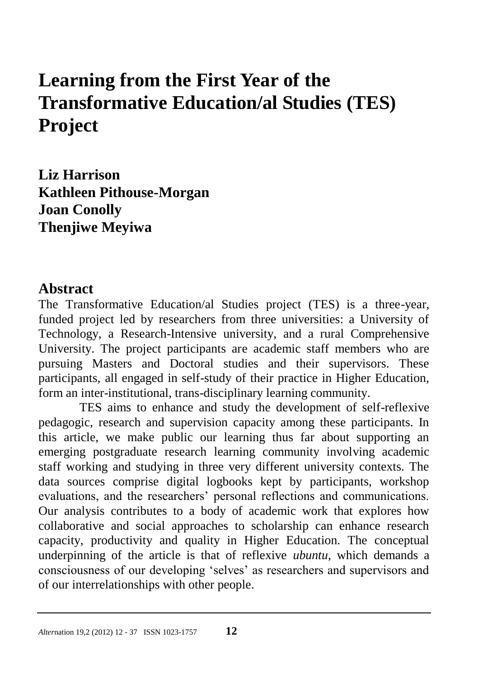# **Learning from the First Year of the Transformative Education/al Studies (TES) Project**

**Liz Harrison Kathleen Pithouse-Morgan Joan Conolly Thenjiwe Meyiwa** 

#### **Abstract**

The Transformative Education/al Studies project (TES) is a three-year, funded project led by researchers from three universities: a University of Technology, a Research-Intensive university, and a rural Comprehensive University. The project participants are academic staff members who are pursuing Masters and Doctoral studies and their supervisors. These participants, all engaged in self-study of their practice in Higher Education, form an inter-institutional, trans-disciplinary learning community.

TES aims to enhance and study the development of self-reflexive pedagogic, research and supervision capacity among these participants. In this article, we make public our learning thus far about supporting an emerging postgraduate research learning community involving academic staff working and studying in three very different university contexts. The data sources comprise digital logbooks kept by participants, workshop evaluations, and the researchers" personal reflections and communications. Our analysis contributes to a body of academic work that explores how collaborative and social approaches to scholarship can enhance research capacity, productivity and quality in Higher Education. The conceptual underpinning of the article is that of reflexive *ubuntu*, which demands a consciousness of our developing "selves" as researchers and supervisors and of our interrelationships with other people.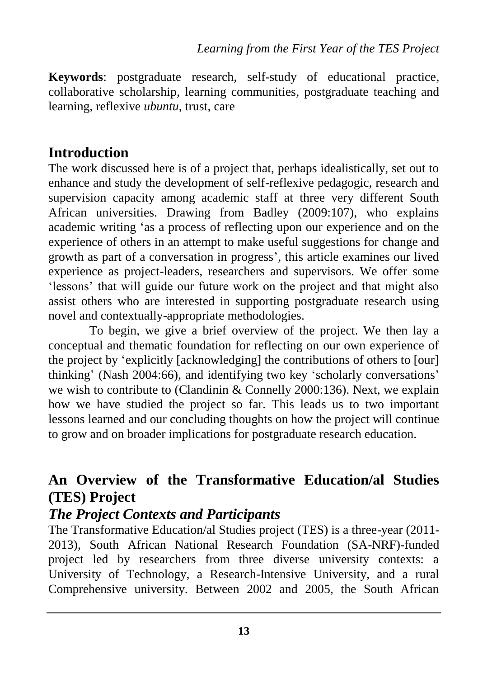**Keywords**: postgraduate research, self-study of educational practice, collaborative scholarship, learning communities, postgraduate teaching and learning, reflexive *ubuntu*, trust, care

## **Introduction**

The work discussed here is of a project that, perhaps idealistically, set out to enhance and study the development of self-reflexive pedagogic, research and supervision capacity among academic staff at three very different South African universities. Drawing from Badley (2009:107), who explains academic writing "as a process of reflecting upon our experience and on the experience of others in an attempt to make useful suggestions for change and growth as part of a conversation in progress', this article examines our lived experience as project-leaders, researchers and supervisors. We offer some 'lessons' that will guide our future work on the project and that might also assist others who are interested in supporting postgraduate research using novel and contextually-appropriate methodologies.

To begin, we give a brief overview of the project. We then lay a conceptual and thematic foundation for reflecting on our own experience of the project by "explicitly [acknowledging] the contributions of others to [our] thinking" (Nash 2004:66), and identifying two key "scholarly conversations" we wish to contribute to (Clandinin & Connelly 2000:136). Next, we explain how we have studied the project so far. This leads us to two important lessons learned and our concluding thoughts on how the project will continue to grow and on broader implications for postgraduate research education.

# **An Overview of the Transformative Education/al Studies (TES) Project**

## *The Project Contexts and Participants*

The Transformative Education/al Studies project (TES) is a three-year (2011- 2013), South African National Research Foundation (SA-NRF)-funded project led by researchers from three diverse university contexts: a University of Technology, a Research-Intensive University, and a rural Comprehensive university. Between 2002 and 2005, the South African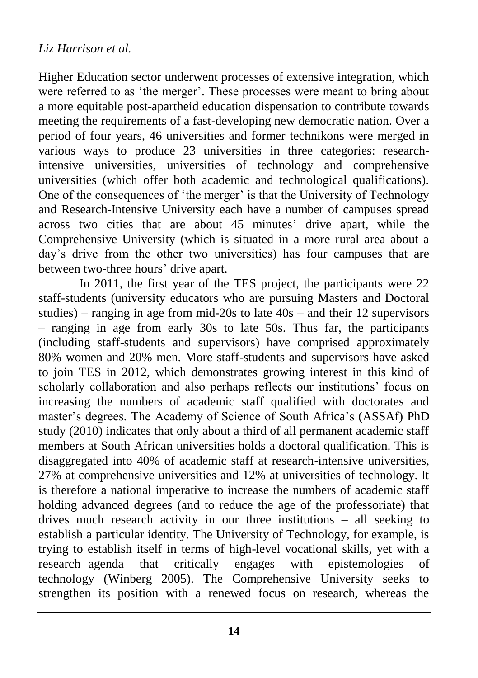#### *Liz Harrison et al.*

Higher Education sector underwent processes of extensive integration, which were referred to as 'the merger'. These processes were meant to bring about a more equitable post-apartheid education dispensation to contribute towards meeting the requirements of a fast-developing new democratic nation. Over a period of four years, 46 universities and former technikons were merged in various ways to produce 23 universities in three categories: researchintensive universities, universities of technology and comprehensive universities (which offer both academic and technological qualifications). One of the consequences of 'the merger' is that the University of Technology and Research-Intensive University each have a number of campuses spread across two cities that are about 45 minutes' drive apart, while the Comprehensive University (which is situated in a more rural area about a day"s drive from the other two universities) has four campuses that are between two-three hours' drive apart.

In 2011, the first year of the TES project, the participants were 22 staff-students (university educators who are pursuing Masters and Doctoral studies) – ranging in age from mid-20s to late  $40s$  – and their 12 supervisors – ranging in age from early 30s to late 50s. Thus far, the participants (including staff-students and supervisors) have comprised approximately 80% women and 20% men. More staff-students and supervisors have asked to join TES in 2012, which demonstrates growing interest in this kind of scholarly collaboration and also perhaps reflects our institutions' focus on increasing the numbers of academic staff qualified with doctorates and master"s degrees. The Academy of Science of South Africa"s (ASSAf) PhD study (2010) indicates that only about a third of all permanent academic staff members at South African universities holds a doctoral qualification. This is disaggregated into 40% of academic staff at research-intensive universities, 27% at comprehensive universities and 12% at universities of technology. It is therefore a national imperative to increase the numbers of academic staff holding advanced degrees (and to reduce the age of the professoriate) that drives much research activity in our three institutions – all seeking to establish a particular identity. The University of Technology, for example, is trying to establish itself in terms of high-level vocational skills, yet with a research agenda that critically engages with epistemologies of technology (Winberg 2005). The Comprehensive University seeks to strengthen its position with a renewed focus on research, whereas the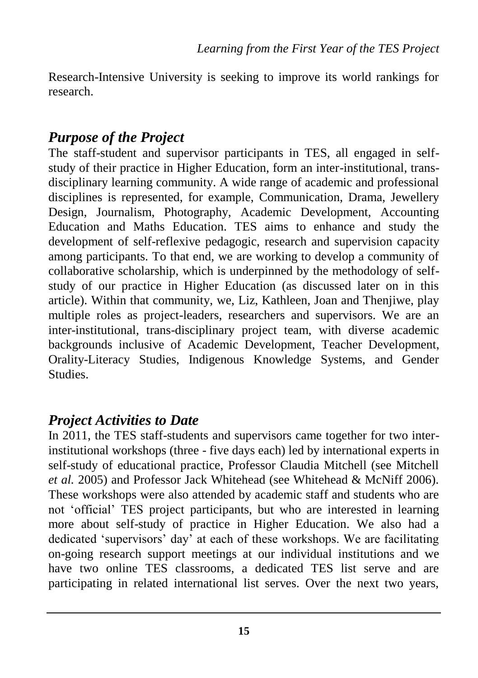Research-Intensive University is seeking to improve its world rankings for research.

# *Purpose of the Project*

The staff-student and supervisor participants in TES, all engaged in selfstudy of their practice in Higher Education, form an inter-institutional, transdisciplinary learning community. A wide range of academic and professional disciplines is represented, for example, Communication, Drama, Jewellery Design, Journalism, Photography, Academic Development, Accounting Education and Maths Education. TES aims to enhance and study the development of self-reflexive pedagogic, research and supervision capacity among participants. To that end, we are working to develop a community of collaborative scholarship, which is underpinned by the methodology of selfstudy of our practice in Higher Education (as discussed later on in this article). Within that community, we, Liz, Kathleen, Joan and Thenjiwe, play multiple roles as project-leaders, researchers and supervisors. We are an inter-institutional, trans-disciplinary project team, with diverse academic backgrounds inclusive of Academic Development, Teacher Development, Orality-Literacy Studies, Indigenous Knowledge Systems, and Gender Studies.

# *Project Activities to Date*

In 2011, the TES staff-students and supervisors came together for two interinstitutional workshops (three - five days each) led by international experts in self-study of educational practice, Professor Claudia Mitchell (see Mitchell *et al.* 2005) and Professor Jack Whitehead (see Whitehead & McNiff 2006). These workshops were also attended by academic staff and students who are not "official" TES project participants, but who are interested in learning more about self-study of practice in Higher Education. We also had a dedicated 'supervisors' day' at each of these workshops. We are facilitating on-going research support meetings at our individual institutions and we have two online TES classrooms, a dedicated TES list serve and are participating in related international list serves. Over the next two years,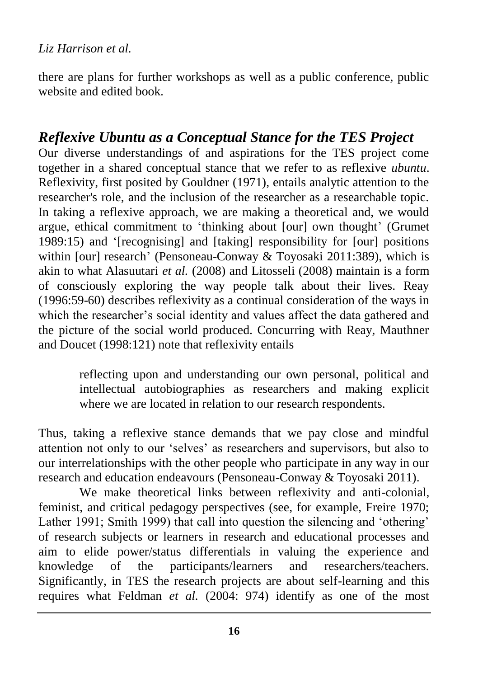there are plans for further workshops as well as a public conference, public website and edited book.

# *Reflexive Ubuntu as a Conceptual Stance for the TES Project*

Our diverse understandings of and aspirations for the TES project come together in a shared conceptual stance that we refer to as reflexive *ubuntu*. Reflexivity, first posited by Gouldner (1971), entails analytic attention to the researcher's role, and the inclusion of the researcher as a researchable topic. In taking a reflexive approach, we are making a theoretical and, we would argue, ethical commitment to "thinking about [our] own thought" (Grumet 1989:15) and "[recognising] and [taking] responsibility for [our] positions within [our] research' (Pensoneau-Conway & Toyosaki 2011:389), which is akin to what Alasuutari *et al.* (2008) and Litosseli (2008) maintain is a form of consciously exploring the way people talk about their lives. Reay (1996:59-60) describes reflexivity as a continual consideration of the ways in which the researcher's social identity and values affect the data gathered and the picture of the social world produced. Concurring with Reay, Mauthner and Doucet (1998:121) note that reflexivity entails

> reflecting upon and understanding our own personal, political and intellectual autobiographies as researchers and making explicit where we are located in relation to our research respondents.

Thus, taking a reflexive stance demands that we pay close and mindful attention not only to our "selves" as researchers and supervisors, but also to our interrelationships with the other people who participate in any way in our research and education endeavours (Pensoneau-Conway & Toyosaki 2011).

We make theoretical links between reflexivity and anti-colonial, feminist, and critical pedagogy perspectives (see, for example, Freire 1970; Lather 1991; Smith 1999) that call into question the silencing and 'othering' of research subjects or learners in research and educational processes and aim to elide power/status differentials in valuing the experience and knowledge of the participants/learners and researchers/teachers. Significantly, in TES the research projects are about self-learning and this requires what Feldman *et al.* (2004: 974) identify as one of the most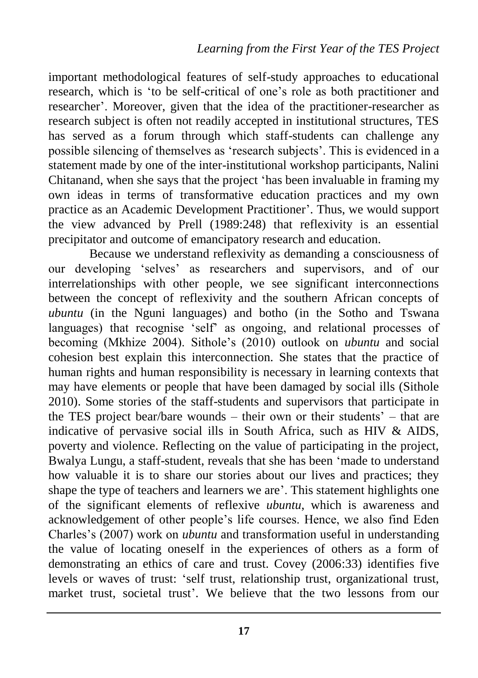important methodological features of self-study approaches to educational research, which is "to be self-critical of one"s role as both practitioner and researcher". Moreover, given that the idea of the practitioner-researcher as research subject is often not readily accepted in institutional structures, TES has served as a forum through which staff-students can challenge any possible silencing of themselves as "research subjects". This is evidenced in a statement made by one of the inter-institutional workshop participants, Nalini Chitanand, when she says that the project "has been invaluable in framing my own ideas in terms of transformative education practices and my own practice as an Academic Development Practitioner". Thus, we would support the view advanced by Prell (1989:248) that reflexivity is an essential precipitator and outcome of emancipatory research and education.

Because we understand reflexivity as demanding a consciousness of our developing "selves" as researchers and supervisors, and of our interrelationships with other people, we see significant interconnections between the concept of reflexivity and the southern African concepts of *ubuntu* (in the Nguni languages) and botho (in the Sotho and Tswana languages) that recognise "self" as ongoing, and relational processes of becoming (Mkhize 2004). Sithole"s (2010) outlook on *ubuntu* and social cohesion best explain this interconnection. She states that the practice of human rights and human responsibility is necessary in learning contexts that may have elements or people that have been damaged by social ills (Sithole 2010). Some stories of the staff-students and supervisors that participate in the TES project bear/bare wounds – their own or their students" – that are indicative of pervasive social ills in South Africa, such as HIV & AIDS, poverty and violence. Reflecting on the value of participating in the project, Bwalya Lungu, a staff-student, reveals that she has been "made to understand how valuable it is to share our stories about our lives and practices; they shape the type of teachers and learners we are'. This statement highlights one of the significant elements of reflexive *ubuntu*, which is awareness and acknowledgement of other people"s life courses. Hence, we also find Eden Charles"s (2007) work on *ubuntu* and transformation useful in understanding the value of locating oneself in the experiences of others as a form of demonstrating an ethics of care and trust. Covey (2006:33) identifies five levels or waves of trust: "self trust, relationship trust, organizational trust, market trust, societal trust'. We believe that the two lessons from our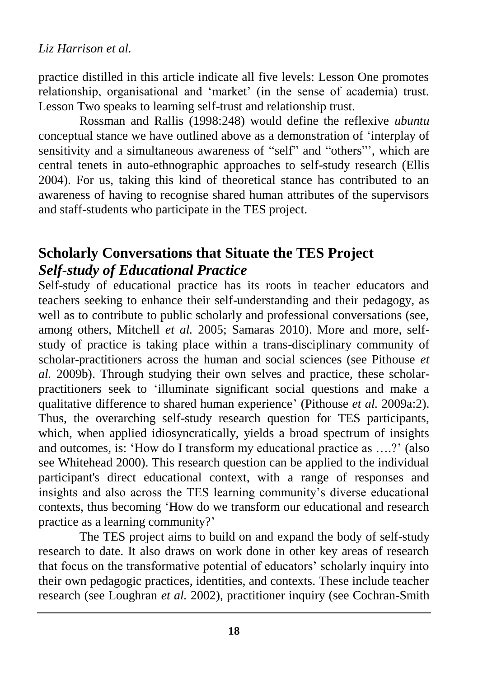practice distilled in this article indicate all five levels: Lesson One promotes relationship, organisational and "market" (in the sense of academia) trust. Lesson Two speaks to learning self-trust and relationship trust.

Rossman and Rallis (1998:248) would define the reflexive *ubuntu* conceptual stance we have outlined above as a demonstration of "interplay of sensitivity and a simultaneous awareness of "self" and "others"', which are central tenets in auto-ethnographic approaches to self-study research (Ellis 2004). For us, taking this kind of theoretical stance has contributed to an awareness of having to recognise shared human attributes of the supervisors and staff-students who participate in the TES project.

# **Scholarly Conversations that Situate the TES Project**  *Self-study of Educational Practice*

Self-study of educational practice has its roots in teacher educators and teachers seeking to enhance their self-understanding and their pedagogy, as well as to contribute to public scholarly and professional conversations (see, among others, Mitchell *et al.* 2005; Samaras 2010). More and more, selfstudy of practice is taking place within a trans-disciplinary community of scholar-practitioners across the human and social sciences (see Pithouse *et al.* 2009b). Through studying their own selves and practice, these scholarpractitioners seek to "illuminate significant social questions and make a qualitative difference to shared human experience" (Pithouse *et al.* 2009a:2). Thus, the overarching self-study research question for TES participants, which, when applied idiosyncratically, yields a broad spectrum of insights and outcomes, is: 'How do I transform my educational practice as ....?' (also see Whitehead 2000). This research question can be applied to the individual participant's direct educational context, with a range of responses and insights and also across the TES learning community's diverse educational contexts, thus becoming "How do we transform our educational and research practice as a learning community?"

The TES project aims to build on and expand the body of self-study research to date. It also draws on work done in other key areas of research that focus on the transformative potential of educators" scholarly inquiry into their own pedagogic practices, identities, and contexts. These include teacher research (see Loughran *et al.* 2002), practitioner inquiry (see Cochran-Smith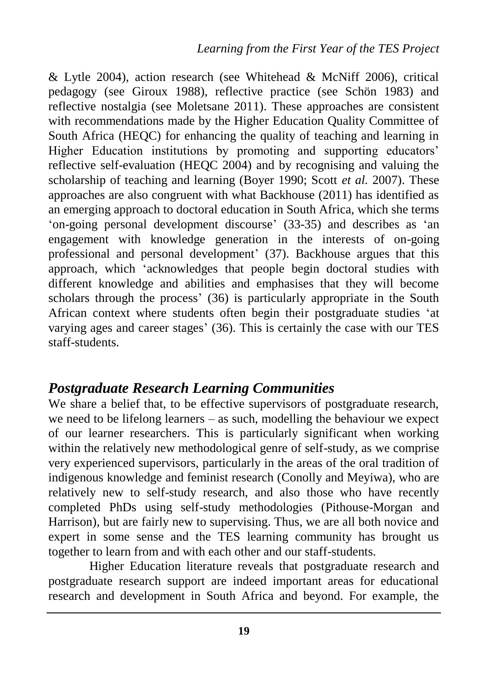& Lytle 2004), action research (see Whitehead & McNiff 2006), critical pedagogy (see Giroux 1988), reflective practice (see Schön 1983) and reflective nostalgia (see Moletsane 2011). These approaches are consistent with recommendations made by the Higher Education Quality Committee of South Africa (HEQC) for enhancing the quality of teaching and learning in Higher Education institutions by promoting and supporting educators' reflective self-evaluation (HEQC 2004) and by recognising and valuing the scholarship of teaching and learning (Boyer 1990; Scott *et al.* 2007). These approaches are also congruent with what Backhouse (2011) has identified as an emerging approach to doctoral education in South Africa, which she terms 'on-going personal development discourse' (33-35) and describes as 'an engagement with knowledge generation in the interests of on-going professional and personal development' (37). Backhouse argues that this approach, which "acknowledges that people begin doctoral studies with different knowledge and abilities and emphasises that they will become scholars through the process' (36) is particularly appropriate in the South African context where students often begin their postgraduate studies "at varying ages and career stages' (36). This is certainly the case with our TES staff-students.

## *Postgraduate Research Learning Communities*

We share a belief that, to be effective supervisors of postgraduate research, we need to be lifelong learners – as such, modelling the behaviour we expect of our learner researchers. This is particularly significant when working within the relatively new methodological genre of self-study, as we comprise very experienced supervisors, particularly in the areas of the oral tradition of indigenous knowledge and feminist research (Conolly and Meyiwa), who are relatively new to self-study research, and also those who have recently completed PhDs using self-study methodologies (Pithouse-Morgan and Harrison), but are fairly new to supervising. Thus, we are all both novice and expert in some sense and the TES learning community has brought us together to learn from and with each other and our staff-students.

Higher Education literature reveals that postgraduate research and postgraduate research support are indeed important areas for educational research and development in South Africa and beyond. For example, the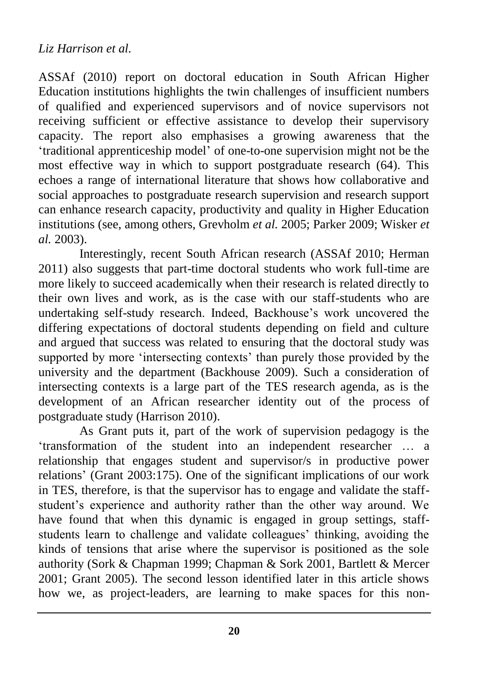#### *Liz Harrison et al.*

ASSAf (2010) report on doctoral education in South African Higher Education institutions highlights the twin challenges of insufficient numbers of qualified and experienced supervisors and of novice supervisors not receiving sufficient or effective assistance to develop their supervisory capacity. The report also emphasises a growing awareness that the "traditional apprenticeship model" of one-to-one supervision might not be the most effective way in which to support postgraduate research (64). This echoes a range of international literature that shows how collaborative and social approaches to postgraduate research supervision and research support can enhance research capacity, productivity and quality in Higher Education institutions (see, among others, Grevholm *et al.* 2005; Parker 2009; Wisker *et al.* 2003).

Interestingly, recent South African research (ASSAf 2010; Herman 2011) also suggests that part-time doctoral students who work full-time are more likely to succeed academically when their research is related directly to their own lives and work, as is the case with our staff-students who are undertaking self-study research. Indeed, Backhouse"s work uncovered the differing expectations of doctoral students depending on field and culture and argued that success was related to ensuring that the doctoral study was supported by more 'intersecting contexts' than purely those provided by the university and the department (Backhouse 2009). Such a consideration of intersecting contexts is a large part of the TES research agenda, as is the development of an African researcher identity out of the process of postgraduate study (Harrison 2010).

As Grant puts it, part of the work of supervision pedagogy is the "transformation of the student into an independent researcher … a relationship that engages student and supervisor/s in productive power relations" (Grant 2003:175). One of the significant implications of our work in TES, therefore, is that the supervisor has to engage and validate the staffstudent's experience and authority rather than the other way around. We have found that when this dynamic is engaged in group settings, staffstudents learn to challenge and validate colleagues' thinking, avoiding the kinds of tensions that arise where the supervisor is positioned as the sole authority (Sork & Chapman 1999; Chapman & Sork 2001, Bartlett & Mercer 2001; Grant 2005). The second lesson identified later in this article shows how we, as project-leaders, are learning to make spaces for this non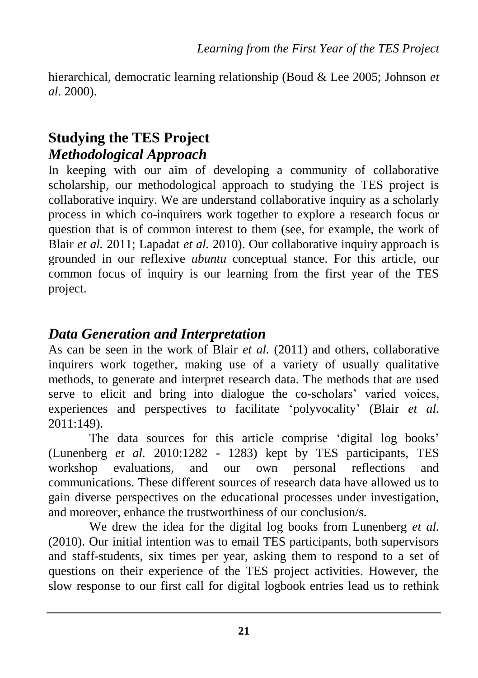hierarchical, democratic learning relationship (Boud & Lee 2005; Johnson *et al.* 2000).

# **Studying the TES Project** *Methodological Approach*

In keeping with our aim of developing a community of collaborative scholarship, our methodological approach to studying the TES project is collaborative inquiry. We are understand collaborative inquiry as a scholarly process in which co-inquirers work together to explore a research focus or question that is of common interest to them (see, for example, the work of Blair *et al.* 2011; Lapadat *et al.* 2010). Our collaborative inquiry approach is grounded in our reflexive *ubuntu* conceptual stance. For this article, our common focus of inquiry is our learning from the first year of the TES project.

# *Data Generation and Interpretation*

As can be seen in the work of Blair *et al.* (2011) and others, collaborative inquirers work together, making use of a variety of usually qualitative methods, to generate and interpret research data. The methods that are used serve to elicit and bring into dialogue the co-scholars' varied voices, experiences and perspectives to facilitate "polyvocality" (Blair *et al.*  2011:149).

The data sources for this article comprise 'digital log books' (Lunenberg *et al.* 2010:1282 - 1283) kept by TES participants, TES workshop evaluations, and our own personal reflections and communications. These different sources of research data have allowed us to gain diverse perspectives on the educational processes under investigation, and moreover, enhance the trustworthiness of our conclusion/s.

We drew the idea for the digital log books from Lunenberg *et al.* (2010). Our initial intention was to email TES participants, both supervisors and staff-students, six times per year, asking them to respond to a set of questions on their experience of the TES project activities. However, the slow response to our first call for digital logbook entries lead us to rethink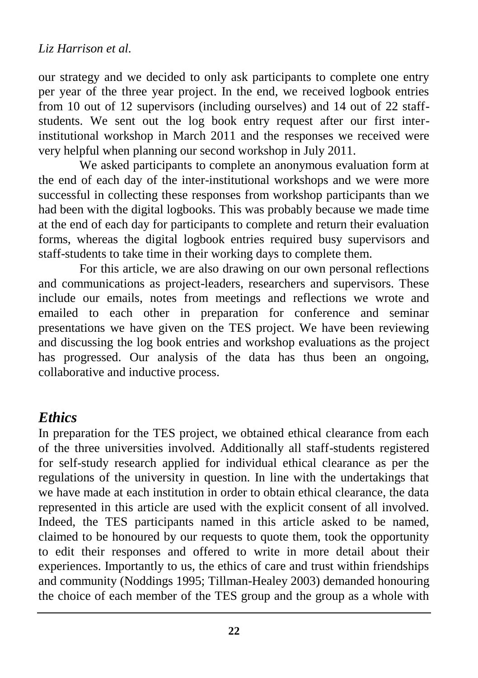our strategy and we decided to only ask participants to complete one entry per year of the three year project. In the end, we received logbook entries from 10 out of 12 supervisors (including ourselves) and 14 out of 22 staffstudents. We sent out the log book entry request after our first interinstitutional workshop in March 2011 and the responses we received were very helpful when planning our second workshop in July 2011.

We asked participants to complete an anonymous evaluation form at the end of each day of the inter-institutional workshops and we were more successful in collecting these responses from workshop participants than we had been with the digital logbooks. This was probably because we made time at the end of each day for participants to complete and return their evaluation forms, whereas the digital logbook entries required busy supervisors and staff-students to take time in their working days to complete them.

For this article, we are also drawing on our own personal reflections and communications as project-leaders, researchers and supervisors. These include our emails, notes from meetings and reflections we wrote and emailed to each other in preparation for conference and seminar presentations we have given on the TES project. We have been reviewing and discussing the log book entries and workshop evaluations as the project has progressed. Our analysis of the data has thus been an ongoing, collaborative and inductive process.

## *Ethics*

In preparation for the TES project, we obtained ethical clearance from each of the three universities involved. Additionally all staff-students registered for self-study research applied for individual ethical clearance as per the regulations of the university in question. In line with the undertakings that we have made at each institution in order to obtain ethical clearance, the data represented in this article are used with the explicit consent of all involved. Indeed, the TES participants named in this article asked to be named, claimed to be honoured by our requests to quote them, took the opportunity to edit their responses and offered to write in more detail about their experiences. Importantly to us, the ethics of care and trust within friendships and community (Noddings 1995; Tillman-Healey 2003) demanded honouring the choice of each member of the TES group and the group as a whole with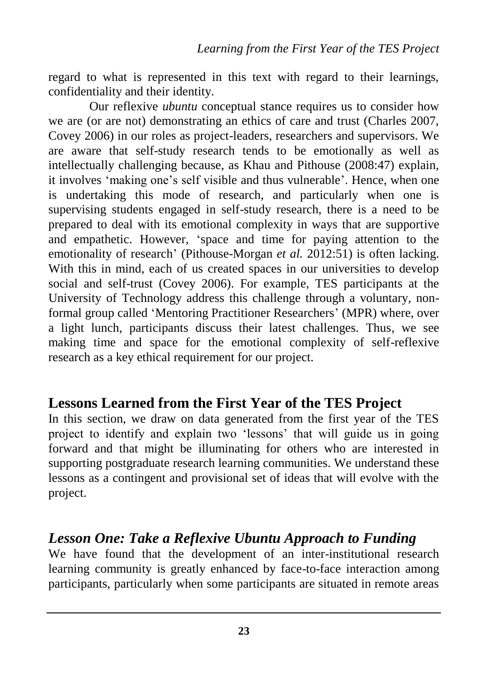regard to what is represented in this text with regard to their learnings, confidentiality and their identity.

Our reflexive *ubuntu* conceptual stance requires us to consider how we are (or are not) demonstrating an ethics of care and trust (Charles 2007, Covey 2006) in our roles as project-leaders, researchers and supervisors. We are aware that self-study research tends to be emotionally as well as intellectually challenging because, as Khau and Pithouse (2008:47) explain, it involves "making one"s self visible and thus vulnerable". Hence, when one is undertaking this mode of research, and particularly when one is supervising students engaged in self-study research, there is a need to be prepared to deal with its emotional complexity in ways that are supportive and empathetic. However, "space and time for paying attention to the emotionality of research' (Pithouse-Morgan *et al.* 2012:51) is often lacking. With this in mind, each of us created spaces in our universities to develop social and self-trust (Covey 2006). For example, TES participants at the University of Technology address this challenge through a voluntary, nonformal group called "Mentoring Practitioner Researchers" (MPR) where, over a light lunch, participants discuss their latest challenges. Thus, we see making time and space for the emotional complexity of self-reflexive research as a key ethical requirement for our project.

## **Lessons Learned from the First Year of the TES Project**

In this section, we draw on data generated from the first year of the TES project to identify and explain two "lessons" that will guide us in going forward and that might be illuminating for others who are interested in supporting postgraduate research learning communities. We understand these lessons as a contingent and provisional set of ideas that will evolve with the project.

## *Lesson One: Take a Reflexive Ubuntu Approach to Funding*

We have found that the development of an inter-institutional research learning community is greatly enhanced by face-to-face interaction among participants, particularly when some participants are situated in remote areas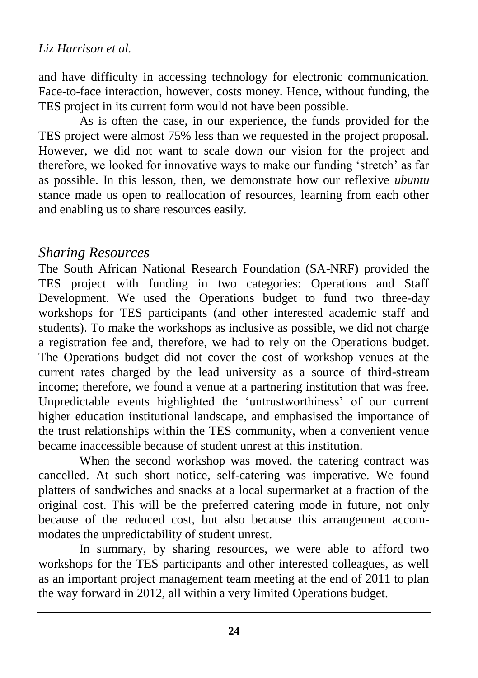and have difficulty in accessing technology for electronic communication. Face-to-face interaction, however, costs money. Hence, without funding, the TES project in its current form would not have been possible.

As is often the case, in our experience, the funds provided for the TES project were almost 75% less than we requested in the project proposal. However, we did not want to scale down our vision for the project and therefore, we looked for innovative ways to make our funding "stretch" as far as possible. In this lesson, then, we demonstrate how our reflexive *ubuntu* stance made us open to reallocation of resources, learning from each other and enabling us to share resources easily.

## *Sharing Resources*

The South African National Research Foundation (SA-NRF) provided the TES project with funding in two categories: Operations and Staff Development. We used the Operations budget to fund two three-day workshops for TES participants (and other interested academic staff and students). To make the workshops as inclusive as possible, we did not charge a registration fee and, therefore, we had to rely on the Operations budget. The Operations budget did not cover the cost of workshop venues at the current rates charged by the lead university as a source of third-stream income; therefore, we found a venue at a partnering institution that was free. Unpredictable events highlighted the "untrustworthiness" of our current higher education institutional landscape, and emphasised the importance of the trust relationships within the TES community, when a convenient venue became inaccessible because of student unrest at this institution.

When the second workshop was moved, the catering contract was cancelled. At such short notice, self-catering was imperative. We found platters of sandwiches and snacks at a local supermarket at a fraction of the original cost. This will be the preferred catering mode in future, not only because of the reduced cost, but also because this arrangement accommodates the unpredictability of student unrest.

In summary, by sharing resources, we were able to afford two workshops for the TES participants and other interested colleagues, as well as an important project management team meeting at the end of 2011 to plan the way forward in 2012, all within a very limited Operations budget.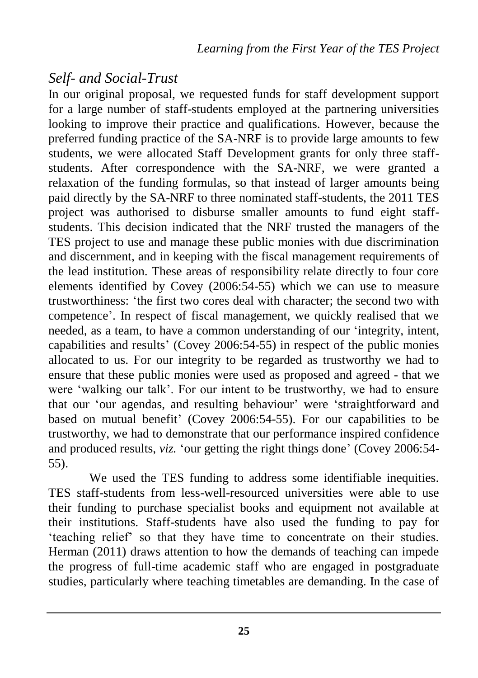# *Self- and Social-Trust*

In our original proposal, we requested funds for staff development support for a large number of staff-students employed at the partnering universities looking to improve their practice and qualifications. However, because the preferred funding practice of the SA-NRF is to provide large amounts to few students, we were allocated Staff Development grants for only three staffstudents. After correspondence with the SA-NRF, we were granted a relaxation of the funding formulas, so that instead of larger amounts being paid directly by the SA-NRF to three nominated staff-students, the 2011 TES project was authorised to disburse smaller amounts to fund eight staffstudents. This decision indicated that the NRF trusted the managers of the TES project to use and manage these public monies with due discrimination and discernment, and in keeping with the fiscal management requirements of the lead institution. These areas of responsibility relate directly to four core elements identified by Covey (2006:54-55) which we can use to measure trustworthiness: "the first two cores deal with character; the second two with competence". In respect of fiscal management, we quickly realised that we needed, as a team, to have a common understanding of our "integrity, intent, capabilities and results" (Covey 2006:54-55) in respect of the public monies allocated to us. For our integrity to be regarded as trustworthy we had to ensure that these public monies were used as proposed and agreed - that we were 'walking our talk'. For our intent to be trustworthy, we had to ensure that our "our agendas, and resulting behaviour" were "straightforward and based on mutual benefit' (Covey 2006:54-55). For our capabilities to be trustworthy, we had to demonstrate that our performance inspired confidence and produced results, *viz.* "our getting the right things done" (Covey 2006:54- 55).

We used the TES funding to address some identifiable inequities. TES staff-students from less-well-resourced universities were able to use their funding to purchase specialist books and equipment not available at their institutions. Staff-students have also used the funding to pay for "teaching relief" so that they have time to concentrate on their studies. Herman (2011) draws attention to how the demands of teaching can impede the progress of full-time academic staff who are engaged in postgraduate studies, particularly where teaching timetables are demanding. In the case of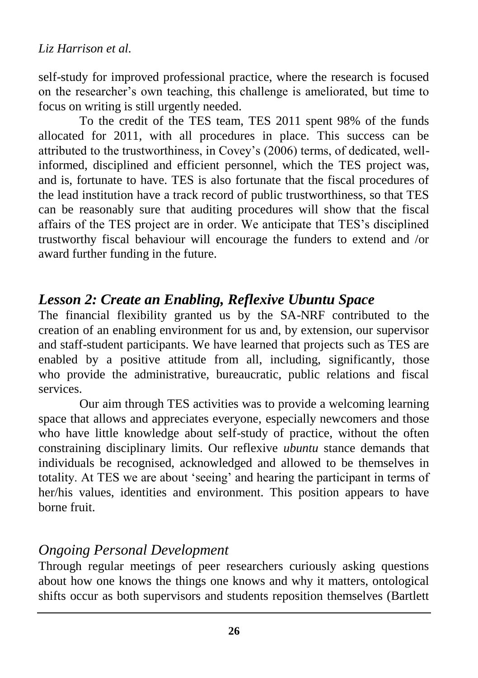self-study for improved professional practice, where the research is focused on the researcher"s own teaching, this challenge is ameliorated, but time to focus on writing is still urgently needed.

To the credit of the TES team, TES 2011 spent 98% of the funds allocated for 2011, with all procedures in place. This success can be attributed to the trustworthiness, in Covey"s (2006) terms, of dedicated, wellinformed, disciplined and efficient personnel, which the TES project was, and is, fortunate to have. TES is also fortunate that the fiscal procedures of the lead institution have a track record of public trustworthiness, so that TES can be reasonably sure that auditing procedures will show that the fiscal affairs of the TES project are in order. We anticipate that TES"s disciplined trustworthy fiscal behaviour will encourage the funders to extend and /or award further funding in the future.

# *Lesson 2: Create an Enabling, Reflexive Ubuntu Space*

The financial flexibility granted us by the SA-NRF contributed to the creation of an enabling environment for us and, by extension, our supervisor and staff-student participants. We have learned that projects such as TES are enabled by a positive attitude from all, including, significantly, those who provide the administrative, bureaucratic, public relations and fiscal services.

Our aim through TES activities was to provide a welcoming learning space that allows and appreciates everyone, especially newcomers and those who have little knowledge about self-study of practice, without the often constraining disciplinary limits. Our reflexive *ubuntu* stance demands that individuals be recognised, acknowledged and allowed to be themselves in totality. At TES we are about "seeing" and hearing the participant in terms of her/his values, identities and environment. This position appears to have borne fruit.

# *Ongoing Personal Development*

Through regular meetings of peer researchers curiously asking questions about how one knows the things one knows and why it matters, ontological shifts occur as both supervisors and students reposition themselves (Bartlett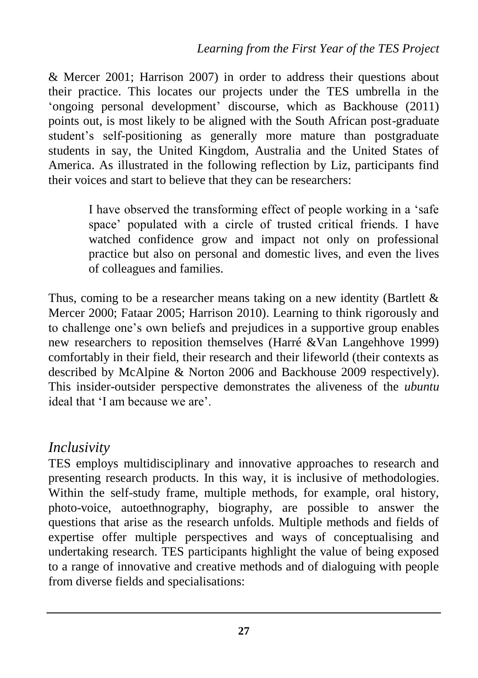& Mercer 2001; Harrison 2007) in order to address their questions about their practice. This locates our projects under the TES umbrella in the 'ongoing personal development' discourse, which as Backhouse (2011) points out, is most likely to be aligned with the South African post-graduate student's self-positioning as generally more mature than postgraduate students in say, the United Kingdom, Australia and the United States of America. As illustrated in the following reflection by Liz, participants find their voices and start to believe that they can be researchers:

> I have observed the transforming effect of people working in a "safe space" populated with a circle of trusted critical friends. I have watched confidence grow and impact not only on professional practice but also on personal and domestic lives, and even the lives of colleagues and families.

Thus, coming to be a researcher means taking on a new identity (Bartlett & Mercer 2000; Fataar 2005; Harrison 2010). Learning to think rigorously and to challenge one"s own beliefs and prejudices in a supportive group enables new researchers to reposition themselves (Harré &Van Langehhove 1999) comfortably in their field, their research and their lifeworld (their contexts as described by McAlpine & Norton 2006 and Backhouse 2009 respectively). This insider-outsider perspective demonstrates the aliveness of the *ubuntu* ideal that 'I am because we are'.

## *Inclusivity*

TES employs multidisciplinary and innovative approaches to research and presenting research products. In this way, it is inclusive of methodologies. Within the self-study frame, multiple methods, for example, oral history, photo-voice, autoethnography, biography, are possible to answer the questions that arise as the research unfolds. Multiple methods and fields of expertise offer multiple perspectives and ways of conceptualising and undertaking research. TES participants highlight the value of being exposed to a range of innovative and creative methods and of dialoguing with people from diverse fields and specialisations: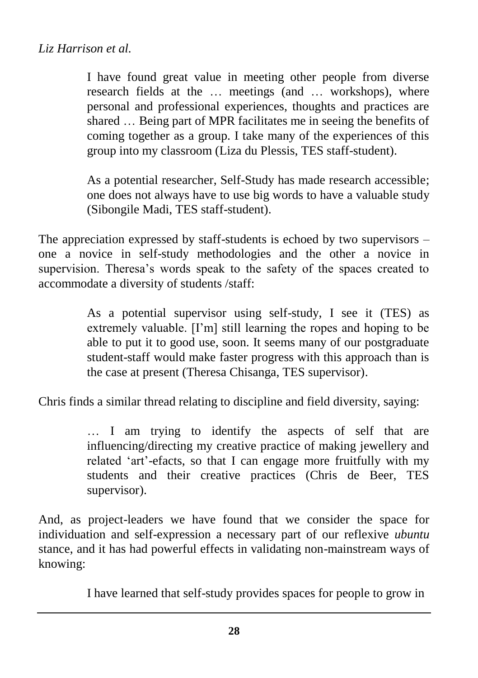I have found great value in meeting other people from diverse research fields at the … meetings (and … workshops), where personal and professional experiences, thoughts and practices are shared … Being part of MPR facilitates me in seeing the benefits of coming together as a group. I take many of the experiences of this group into my classroom (Liza du Plessis, TES staff-student).

As a potential researcher, Self-Study has made research accessible; one does not always have to use big words to have a valuable study (Sibongile Madi, TES staff-student).

The appreciation expressed by staff-students is echoed by two supervisors – one a novice in self-study methodologies and the other a novice in supervision. Theresa's words speak to the safety of the spaces created to accommodate a diversity of students /staff:

> As a potential supervisor using self-study, I see it (TES) as extremely valuable. [I"m] still learning the ropes and hoping to be able to put it to good use, soon. It seems many of our postgraduate student-staff would make faster progress with this approach than is the case at present (Theresa Chisanga, TES supervisor).

Chris finds a similar thread relating to discipline and field diversity, saying:

… I am trying to identify the aspects of self that are influencing/directing my creative practice of making jewellery and related "art"-efacts, so that I can engage more fruitfully with my students and their creative practices (Chris de Beer, TES supervisor).

And, as project-leaders we have found that we consider the space for individuation and self-expression a necessary part of our reflexive *ubuntu* stance, and it has had powerful effects in validating non-mainstream ways of knowing:

I have learned that self-study provides spaces for people to grow in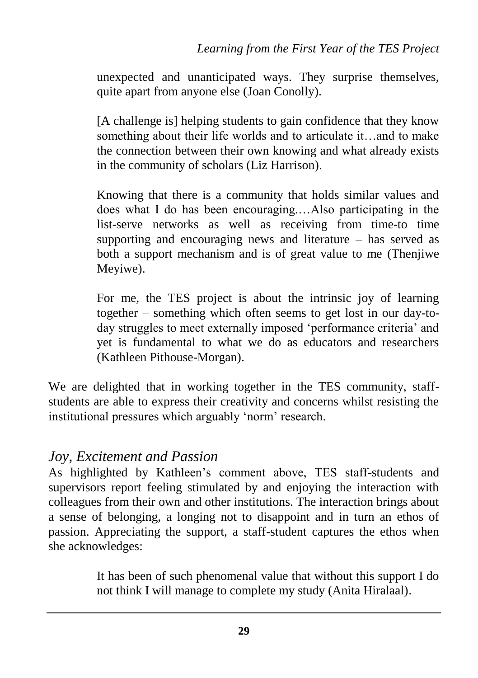unexpected and unanticipated ways. They surprise themselves, quite apart from anyone else (Joan Conolly).

[A challenge is] helping students to gain confidence that they know something about their life worlds and to articulate it…and to make the connection between their own knowing and what already exists in the community of scholars (Liz Harrison).

Knowing that there is a community that holds similar values and does what I do has been encouraging.…Also participating in the list-serve networks as well as receiving from time-to time supporting and encouraging news and literature – has served as both a support mechanism and is of great value to me (Thenjiwe Meyiwe).

For me, the TES project is about the intrinsic joy of learning together – something which often seems to get lost in our day-today struggles to meet externally imposed 'performance criteria' and yet is fundamental to what we do as educators and researchers (Kathleen Pithouse-Morgan).

We are delighted that in working together in the TES community, staffstudents are able to express their creativity and concerns whilst resisting the institutional pressures which arguably 'norm' research.

## *Joy, Excitement and Passion*

As highlighted by Kathleen"s comment above, TES staff-students and supervisors report feeling stimulated by and enjoying the interaction with colleagues from their own and other institutions. The interaction brings about a sense of belonging, a longing not to disappoint and in turn an ethos of passion. Appreciating the support, a staff-student captures the ethos when she acknowledges:

> It has been of such phenomenal value that without this support I do not think I will manage to complete my study (Anita Hiralaal).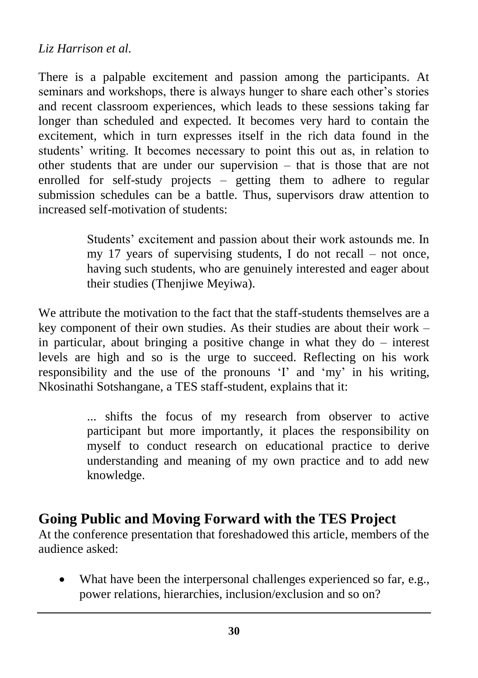#### *Liz Harrison et al.*

There is a palpable excitement and passion among the participants. At seminars and workshops, there is always hunger to share each other's stories and recent classroom experiences, which leads to these sessions taking far longer than scheduled and expected. It becomes very hard to contain the excitement, which in turn expresses itself in the rich data found in the students' writing. It becomes necessary to point this out as, in relation to other students that are under our supervision – that is those that are not enrolled for self-study projects – getting them to adhere to regular submission schedules can be a battle. Thus, supervisors draw attention to increased self-motivation of students:

> Students' excitement and passion about their work astounds me. In my 17 years of supervising students, I do not recall – not once, having such students, who are genuinely interested and eager about their studies (Thenjiwe Meyiwa).

We attribute the motivation to the fact that the staff-students themselves are a key component of their own studies. As their studies are about their work – in particular, about bringing a positive change in what they do – interest levels are high and so is the urge to succeed. Reflecting on his work responsibility and the use of the pronouns "I" and "my" in his writing, Nkosinathi Sotshangane, a TES staff-student, explains that it:

> ... shifts the focus of my research from observer to active participant but more importantly, it places the responsibility on myself to conduct research on educational practice to derive understanding and meaning of my own practice and to add new knowledge.

# **Going Public and Moving Forward with the TES Project**

At the conference presentation that foreshadowed this article, members of the audience asked:

 What have been the interpersonal challenges experienced so far, e.g., power relations, hierarchies, inclusion/exclusion and so on?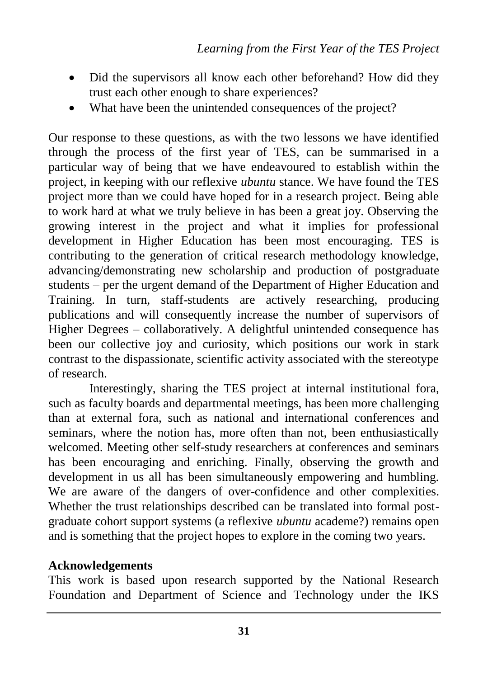- Did the supervisors all know each other beforehand? How did they trust each other enough to share experiences?
- What have been the unintended consequences of the project?

Our response to these questions, as with the two lessons we have identified through the process of the first year of TES, can be summarised in a particular way of being that we have endeavoured to establish within the project, in keeping with our reflexive *ubuntu* stance. We have found the TES project more than we could have hoped for in a research project. Being able to work hard at what we truly believe in has been a great joy. Observing the growing interest in the project and what it implies for professional development in Higher Education has been most encouraging. TES is contributing to the generation of critical research methodology knowledge, advancing/demonstrating new scholarship and production of postgraduate students – per the urgent demand of the Department of Higher Education and Training. In turn, staff-students are actively researching, producing publications and will consequently increase the number of supervisors of Higher Degrees – collaboratively. A delightful unintended consequence has been our collective joy and curiosity, which positions our work in stark contrast to the dispassionate, scientific activity associated with the stereotype of research.

Interestingly, sharing the TES project at internal institutional fora, such as faculty boards and departmental meetings, has been more challenging than at external fora, such as national and international conferences and seminars, where the notion has, more often than not, been enthusiastically welcomed. Meeting other self-study researchers at conferences and seminars has been encouraging and enriching. Finally, observing the growth and development in us all has been simultaneously empowering and humbling. We are aware of the dangers of over-confidence and other complexities. Whether the trust relationships described can be translated into formal postgraduate cohort support systems (a reflexive *ubuntu* academe?) remains open and is something that the project hopes to explore in the coming two years.

#### **Acknowledgements**

This work is based upon research supported by the National Research Foundation and Department of Science and Technology under the IKS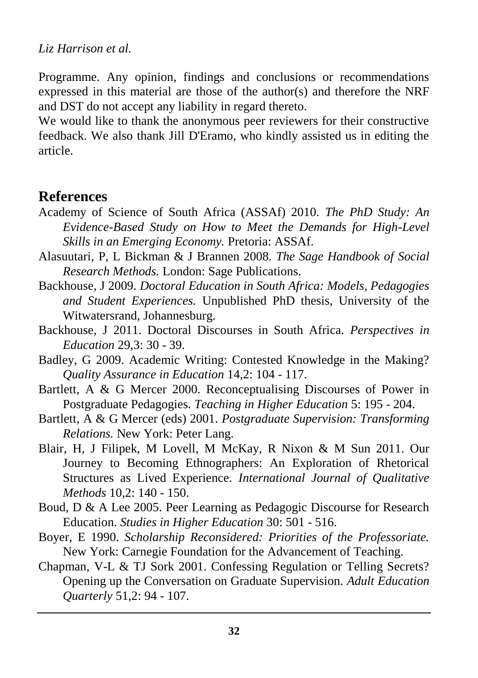#### *Liz Harrison et al.*

Programme. Any opinion, findings and conclusions or recommendations expressed in this material are those of the author(s) and therefore the NRF and DST do not accept any liability in regard thereto.

We would like to thank the anonymous peer reviewers for their constructive feedback. We also thank Jill D'Eramo, who kindly assisted us in editing the article.

#### **References**

- Academy of Science of South Africa (ASSAf) 2010. *The PhD Study: An Evidence-Based Study on How to Meet the Demands for High-Level Skills in an Emerging Economy.* Pretoria: ASSAf.
- Alasuutari, P, L Bickman & J Brannen 2008. *The Sage Handbook of Social Research Methods.* London: Sage Publications.
- Backhouse, J 2009. *Doctoral Education in South Africa: Models, Pedagogies and Student Experiences.* Unpublished PhD thesis, University of the Witwatersrand, Johannesburg.
- Backhouse, J 2011. Doctoral Discourses in South Africa. *Perspectives in Education* 29,3: 30 - 39.
- Badley, G 2009. Academic Writing: Contested Knowledge in the Making? *Quality Assurance in Education* 14,2: 104 - 117.
- Bartlett, A & G Mercer 2000. Reconceptualising Discourses of Power in Postgraduate Pedagogies. *Teaching in Higher Education* 5: 195 - 204.
- Bartlett, A & G Mercer (eds) 2001. *Postgraduate Supervision: Transforming Relations.* New York: Peter Lang.
- Blair, H, J Filipek, M Lovell, M McKay, R Nixon & M Sun 2011. Our Journey to Becoming Ethnographers: An Exploration of Rhetorical Structures as Lived Experience. *International Journal of Qualitative Methods* 10,2: 140 - 150.
- Boud, D & A Lee 2005. Peer Learning as Pedagogic Discourse for Research Education. *Studies in Higher Education* 30: 501 - 516.
- Boyer, E 1990. *Scholarship Reconsidered: Priorities of the Professoriate.* New York: Carnegie Foundation for the Advancement of Teaching.
- Chapman, V-L & TJ Sork 2001. Confessing Regulation or Telling Secrets? Opening up the Conversation on Graduate Supervision. *Adult Education Quarterly* 51,2: 94 - 107.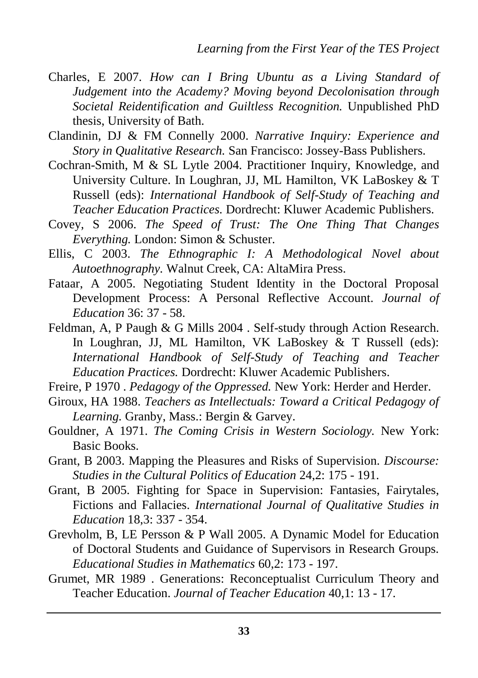- Charles, E 2007. *How can I Bring Ubuntu as a Living Standard of Judgement into the Academy? Moving beyond Decolonisation through Societal Reidentification and Guiltless Recognition.* Unpublished PhD thesis, University of Bath.
- Clandinin, DJ & FM Connelly 2000. *Narrative Inquiry: Experience and Story in Qualitative Research.* San Francisco: Jossey-Bass Publishers.
- Cochran-Smith, M & SL Lytle 2004. Practitioner Inquiry, Knowledge, and University Culture. In Loughran, JJ, ML Hamilton, VK LaBoskey & T Russell (eds): *International Handbook of Self-Study of Teaching and Teacher Education Practices.* Dordrecht: Kluwer Academic Publishers.
- Covey, S 2006. *The Speed of Trust: The One Thing That Changes Everything.* London: Simon & Schuster.
- Ellis, C 2003. *The Ethnographic I: A Methodological Novel about Autoethnography.* Walnut Creek, CA: AltaMira Press.
- Fataar, A 2005. Negotiating Student Identity in the Doctoral Proposal Development Process: A Personal Reflective Account. *Journal of Education* 36: 37 - 58.
- Feldman, A, P Paugh & G Mills 2004 . Self-study through Action Research. In Loughran, JJ, ML Hamilton, VK LaBoskey & T Russell (eds): *International Handbook of Self-Study of Teaching and Teacher Education Practices.* Dordrecht: Kluwer Academic Publishers.

Freire, P 1970 . *Pedagogy of the Oppressed.* New York: Herder and Herder.

- Giroux, HA 1988. *Teachers as Intellectuals: Toward a Critical Pedagogy of Learning.* Granby, Mass.: Bergin & Garvey.
- Gouldner, A 1971. *The Coming Crisis in Western Sociology.* New York: Basic Books.
- Grant, B 2003. Mapping the Pleasures and Risks of Supervision. *Discourse: Studies in the Cultural Politics of Education* 24,2: 175 - 191.
- Grant, B 2005. Fighting for Space in Supervision: Fantasies, Fairytales, Fictions and Fallacies. *International Journal of Qualitative Studies in Education* 18,3: 337 - 354.
- Grevholm, B, LE Persson & P Wall 2005. A Dynamic Model for Education of Doctoral Students and Guidance of Supervisors in Research Groups. *Educational Studies in Mathematics* 60,2: 173 - 197.
- Grumet, MR 1989 . Generations: Reconceptualist Curriculum Theory and Teacher Education. *Journal of Teacher Education* 40,1: 13 - 17.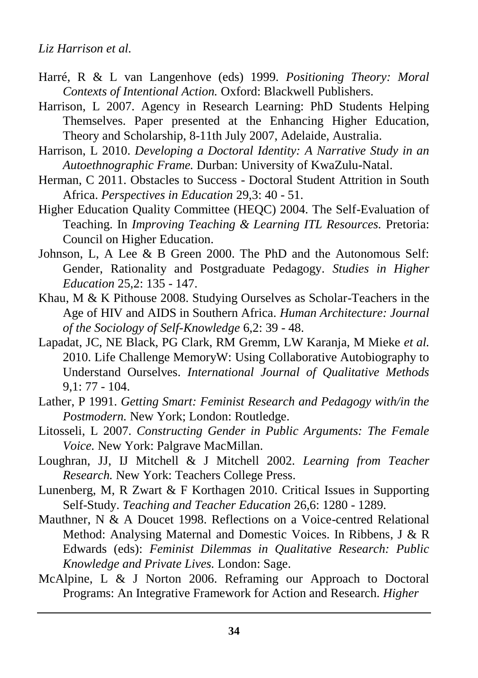- Harré, R & L van Langenhove (eds) 1999. *Positioning Theory: Moral Contexts of Intentional Action.* Oxford: Blackwell Publishers.
- Harrison, L 2007. Agency in Research Learning: PhD Students Helping Themselves. Paper presented at the Enhancing Higher Education, Theory and Scholarship, 8-11th July 2007, Adelaide, Australia.
- Harrison, L 2010. *Developing a Doctoral Identity: A Narrative Study in an Autoethnographic Frame.* Durban: University of KwaZulu-Natal.
- Herman, C 2011. Obstacles to Success Doctoral Student Attrition in South Africa. *Perspectives in Education* 29,3: 40 - 51.
- Higher Education Quality Committee (HEQC) 2004. The Self-Evaluation of Teaching. In *Improving Teaching & Learning ITL Resources.* Pretoria: Council on Higher Education.
- Johnson, L, A Lee & B Green 2000. The PhD and the Autonomous Self: Gender, Rationality and Postgraduate Pedagogy. *Studies in Higher Education* 25,2: 135 - 147.
- Khau, M & K Pithouse 2008. Studying Ourselves as Scholar-Teachers in the Age of HIV and AIDS in Southern Africa. *Human Architecture: Journal of the Sociology of Self-Knowledge* 6,2: 39 - 48.
- Lapadat, JC, NE Black, PG Clark, RM Gremm, LW Karanja, M Mieke *et al.* 2010. Life Challenge MemoryW: Using Collaborative Autobiography to Understand Ourselves. *International Journal of Qualitative Methods* 9,1: 77 - 104.
- Lather, P 1991. *Getting Smart: Feminist Research and Pedagogy with/in the Postmodern.* New York; London: Routledge.
- Litosseli, L 2007. *Constructing Gender in Public Arguments: The Female Voice.* New York: Palgrave MacMillan.
- Loughran, JJ, IJ Mitchell & J Mitchell 2002. *Learning from Teacher Research.* New York: Teachers College Press.
- Lunenberg, M, R Zwart & F Korthagen 2010. Critical Issues in Supporting Self-Study. *Teaching and Teacher Education* 26,6: 1280 - 1289.
- Mauthner, N & A Doucet 1998. Reflections on a Voice-centred Relational Method: Analysing Maternal and Domestic Voices. In Ribbens, J & R Edwards (eds): *Feminist Dilemmas in Qualitative Research: Public Knowledge and Private Lives.* London: Sage.
- McAlpine, L & J Norton 2006. Reframing our Approach to Doctoral Programs: An Integrative Framework for Action and Research. *Higher*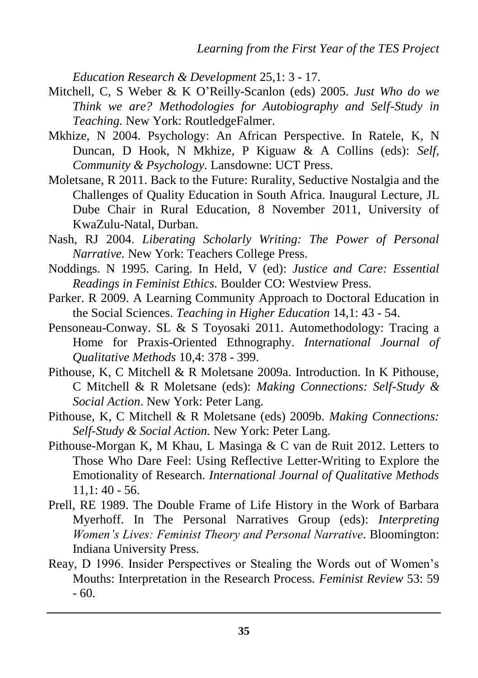*Education Research & Development* 25,1: 3 - 17.

- Mitchell, C, S Weber & K O"Reilly-Scanlon (eds) 2005. *Just Who do we Think we are? Methodologies for Autobiography and Self-Study in Teaching.* New York: RoutledgeFalmer.
- Mkhize, N 2004. Psychology: An African Perspective. In Ratele, K, N Duncan, D Hook, N Mkhize, P Kiguaw & A Collins (eds): *Self, Community & Psychology.* Lansdowne: UCT Press.
- Moletsane, R 2011. Back to the Future: Rurality, Seductive Nostalgia and the Challenges of Quality Education in South Africa. Inaugural Lecture, JL Dube Chair in Rural Education, 8 November 2011, University of KwaZulu-Natal, Durban.
- Nash, RJ 2004. *Liberating Scholarly Writing: The Power of Personal Narrative.* New York: Teachers College Press.
- Noddings. N 1995. Caring. In Held, V (ed): *Justice and Care: Essential Readings in Feminist Ethics.* Boulder CO: Westview Press.
- Parker. R 2009. A Learning Community Approach to Doctoral Education in the Social Sciences. *Teaching in Higher Education* 14,1: 43 - 54.
- Pensoneau-Conway. SL & S Toyosaki 2011. Automethodology: Tracing a Home for Praxis-Oriented Ethnography. *International Journal of Qualitative Methods* 10,4: 378 - 399.
- Pithouse, K, C Mitchell & R Moletsane 2009a. Introduction. In K Pithouse, C Mitchell & R Moletsane (eds): *Making Connections: Self-Study & Social Action*. New York: Peter Lang.
- Pithouse, K, C Mitchell & R Moletsane (eds) 2009b. *Making Connections: Self-Study & Social Action.* New York: Peter Lang.
- Pithouse-Morgan K, M Khau, L Masinga & C van de Ruit 2012. Letters to Those Who Dare Feel: Using Reflective Letter-Writing to Explore the Emotionality of Research. *International Journal of Qualitative Methods*  $11.1:40 - 56.$
- Prell, RE 1989. The Double Frame of Life History in the Work of Barbara Myerhoff. In The Personal Narratives Group (eds): *Interpreting Women's Lives: Feminist Theory and Personal Narrative.* Bloomington: Indiana University Press.
- Reay, D 1996. Insider Perspectives or Stealing the Words out of Women"s Mouths: Interpretation in the Research Process. *Feminist Review* 53: 59  $-60.$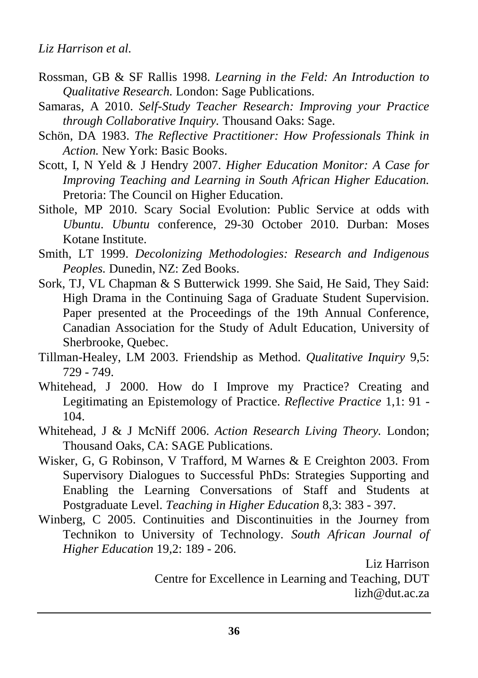- Rossman, GB & SF Rallis 1998. *Learning in the Feld: An Introduction to Qualitative Research.* London: Sage Publications.
- Samaras, A 2010. *Self-Study Teacher Research: Improving your Practice through Collaborative Inquiry.* Thousand Oaks: Sage.
- Schön, DA 1983. *The Reflective Practitioner: How Professionals Think in Action.* New York: Basic Books.
- Scott, I, N Yeld & J Hendry 2007. *Higher Education Monitor: A Case for Improving Teaching and Learning in South African Higher Education.* Pretoria: The Council on Higher Education.
- Sithole, MP 2010. Scary Social Evolution: Public Service at odds with *Ubuntu*. *Ubuntu* conference, 29-30 October 2010. Durban: Moses Kotane Institute.
- Smith, LT 1999. *Decolonizing Methodologies: Research and Indigenous Peoples.* Dunedin, NZ: Zed Books.
- Sork, TJ, VL Chapman & S Butterwick 1999. She Said, He Said, They Said: High Drama in the Continuing Saga of Graduate Student Supervision. Paper presented at the Proceedings of the 19th Annual Conference, Canadian Association for the Study of Adult Education, University of Sherbrooke, Quebec.
- Tillman-Healey, LM 2003. Friendship as Method. *Qualitative Inquiry* 9,5: 729 - 749.
- Whitehead, J 2000. How do I Improve my Practice? Creating and Legitimating an Epistemology of Practice. *Reflective Practice* 1,1: 91 - 104.
- Whitehead, J & J McNiff 2006. *Action Research Living Theory.* London; Thousand Oaks, CA: SAGE Publications.
- Wisker, G, G Robinson, V Trafford, M Warnes & E Creighton 2003. From Supervisory Dialogues to Successful PhDs: Strategies Supporting and Enabling the Learning Conversations of Staff and Students at Postgraduate Level. *Teaching in Higher Education* 8,3: 383 - 397.
- Winberg, C 2005. Continuities and Discontinuities in the Journey from Technikon to University of Technology. *South African Journal of Higher Education* 19,2: 189 - 206.

Liz Harrison Centre for Excellence in Learning and Teaching, DUT [lizh@dut.ac.za](mailto:lizh@dut.ac.za)